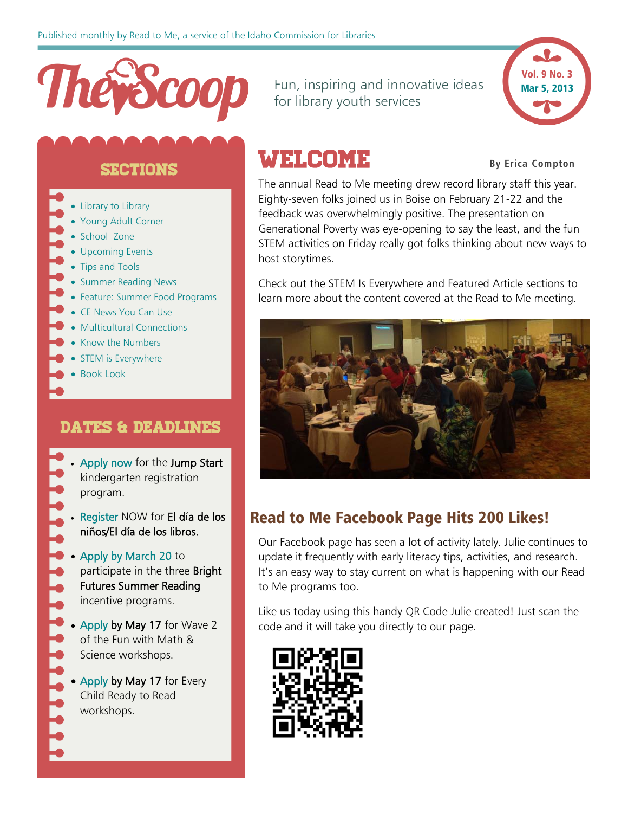

**SECTIONS** 

- [Library to Library](#page-1-0)
- [Young Adult Corner](#page-3-0)
- [School Zone](#page-3-1)
- [Upcoming Events](#page-6-0)
- [Tips and Tools](#page-6-1)
- [Summer Reading News](#page-8-0)
- [Feature: Summer Food Programs](#page-10-0)
- [CE News You Can Use](#page-10-1)
- [Multicultural Connections](#page-11-0)
- [Know the Numbers](#page-12-0)
- [STEM is Everywhere](#page-12-1)
- Book Look

### DATES & DEADLINES

- [Apply now](http://libraries.idaho.gov/landing/jump-start) for the Jump Start kindergarten registration program.
- [Register](http://www.surveymonkey.com/s/2013Dia) NOW for El día de los niños/El día de los libros.
- [Apply by March 20](http://libraries.idaho.gov/landing/summer-reading) to participate in the three Bright Futures Summer Reading incentive programs.
- [Apply](http://www.surveymonkey.com/s/FunwithMathScience2013) by May 17 for Wave 2 of the Fun with Math & Science workshops.
- [Apply b](http://www.surveymonkey.com/s/ECRTR2013)y May 17 for Every Child Ready to Read workshops.

Fun, inspiring and innovative ideas for library youth services



## **WELCOME** By Erica Compton

The annual Read to Me meeting drew record library staff this year. Eighty-seven folks joined us in Boise on February 21-22 and the feedback was overwhelmingly positive. The presentation on Generational Poverty was eye-opening to say the least, and the fun STEM activities on Friday really got folks thinking about new ways to host storytimes.

Check out the STEM Is Everywhere and Featured Article sections to learn more about the content covered at the Read to Me meeting.



## Read to Me Facebook Page Hits 200 Likes!

Our Facebook page has seen a lot of activity lately. Julie continues to update it frequently with early literacy tips, activities, and research. It's an easy way to stay current on what is happening with our Read to Me programs too.

Like us today using this handy QR Code Julie created! Just scan the code and it will take you directly to our page.

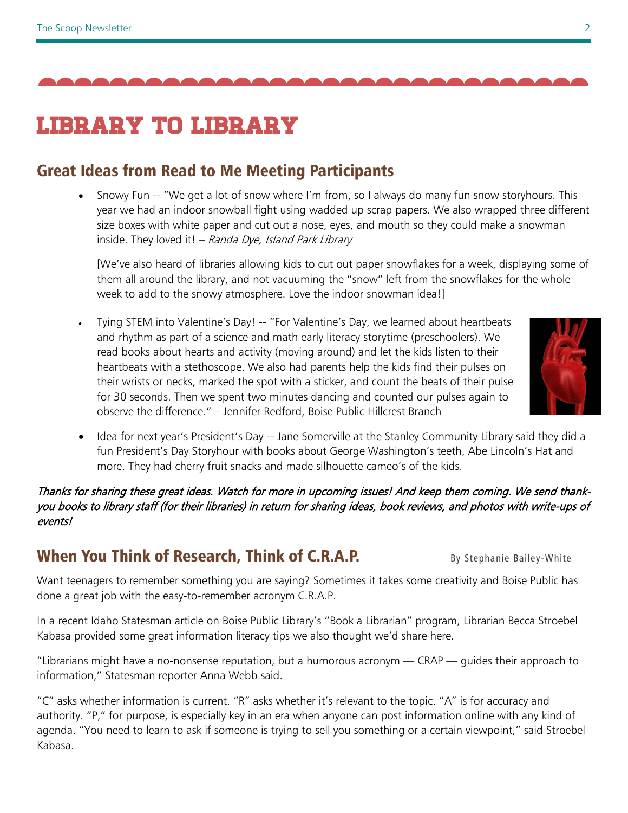

## Library to library

## Great Ideas from Read to Me Meeting Participants

• Snowy Fun -- "We get a lot of snow where I'm from, so I always do many fun snow storyhours. This year we had an indoor snowball fight using wadded up scrap papers. We also wrapped three different size boxes with white paper and cut out a nose, eyes, and mouth so they could make a snowman inside. They loved it!  $-$  Randa Dye, Island Park Library

[We've also heard of libraries allowing kids to cut out paper snowflakes for a week, displaying some of them all around the library, and not vacuuming the "snow" left from the snowflakes for the whole week to add to the snowy atmosphere. Love the indoor snowman idea!]

• Tying STEM into Valentine's Day! -- "For Valentine's Day, we learned about heartbeats and rhythm as part of a science and math early literacy storytime (preschoolers). We read books about hearts and activity (moving around) and let the kids listen to their heartbeats with a stethoscope. We also had parents help the kids find their pulses on their wrists or necks, marked the spot with a sticker, and count the beats of their pulse for 30 seconds. Then we spent two minutes dancing and counted our pulses again to observe the difference." – Jennifer Redford, Boise Public Hillcrest Branch

<span id="page-1-0"></span>

• Idea for next year's President's Day -- Jane Somerville at the Stanley Community Library said they did a fun President's Day Storyhour with books about George Washington's teeth, Abe Lincoln's Hat and more. They had cherry fruit snacks and made silhouette cameo's of the kids.

Thanks for sharing these great ideas. Watch for more in upcoming issues! And keep them coming. We send thankyou books to library staff (for their libraries) in return for sharing ideas, book reviews, and photos with write-ups of events!

## When You Think of Research, Think of C.R.A.P. By Stephanie Bailey-White

Want teenagers to remember something you are saying? Sometimes it takes some creativity and Boise Public has done a great job with the easy-to-remember acronym C.R.A.P.

In a recent Idaho Statesman article on Boise Public Library's "Book a Librarian" program, Librarian Becca Stroebel Kabasa provided some great information literacy tips we also thought we'd share here.

"Librarians might have a no-nonsense reputation, but a humorous acronym — CRAP — guides their approach to information," Statesman reporter Anna Webb said.

"C" asks whether information is current. "R" asks whether it's relevant to the topic. "A" is for accuracy and authority. "P," for purpose, is especially key in an era when anyone can post information online with any kind of agenda. "You need to learn to ask if someone is trying to sell you something or a certain viewpoint," said Stroebel Kabasa.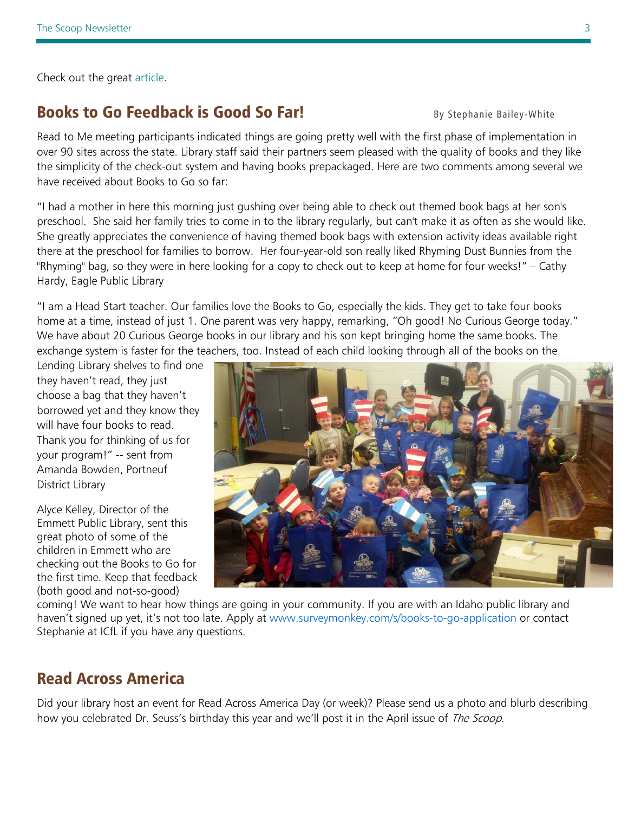Check out the great [article.](http://www.idahostatesman.com/2013/02/06/2440578/stumped-just-ask-the-librarian.html)

### **Books to Go Feedback is Good So Far!** By Stephanie Bailey-White

Read to Me meeting participants indicated things are going pretty well with the first phase of implementation in over 90 sites across the state. Library staff said their partners seem pleased with the quality of books and they like the simplicity of the check-out system and having books prepackaged. Here are two comments among several we have received about Books to Go so far:

"I had a mother in here this morning just gushing over being able to check out themed book bags at her son's preschool. She said her family tries to come in to the library regularly, but can't make it as often as she would like. She greatly appreciates the convenience of having themed book bags with extension activity ideas available right there at the preschool for families to borrow. Her four-year-old son really liked Rhyming Dust Bunnies from the "Rhyming" bag, so they were in here looking for a copy to check out to keep at home for four weeks!" – Cathy Hardy, Eagle Public Library

"I am a Head Start teacher. Our families love the Books to Go, especially the kids. They get to take four books home at a time, instead of just 1. One parent was very happy, remarking, "Oh good! No Curious George today." We have about 20 Curious George books in our library and his son kept bringing home the same books. The exchange system is faster for the teachers, too. Instead of each child looking through all of the books on the

Lending Library shelves to find one they haven't read, they just choose a bag that they haven't borrowed yet and they know they will have four books to read. Thank you for thinking of us for your program!" -- sent from Amanda Bowden, Portneuf District Library

Alyce Kelley, Director of the Emmett Public Library, sent this great photo of some of the children in Emmett who are checking out the Books to Go for the first time. Keep that feedback (both good and not-so-good)



coming! We want to hear how things are going in your community. If you are with an Idaho public library and haven't signed up yet, it's not too late. Apply at [www.surveymonkey.com/s/books-to-go-application](http://www.surveymonkey.com/s/books-to-go-application) or contact Stephanie at ICfL if you have any questions.

## Read Across America

Did your library host an event for Read Across America Day (or week)? Please send us a photo and blurb describing how you celebrated Dr. Seuss's birthday this year and we'll post it in the April issue of The Scoop.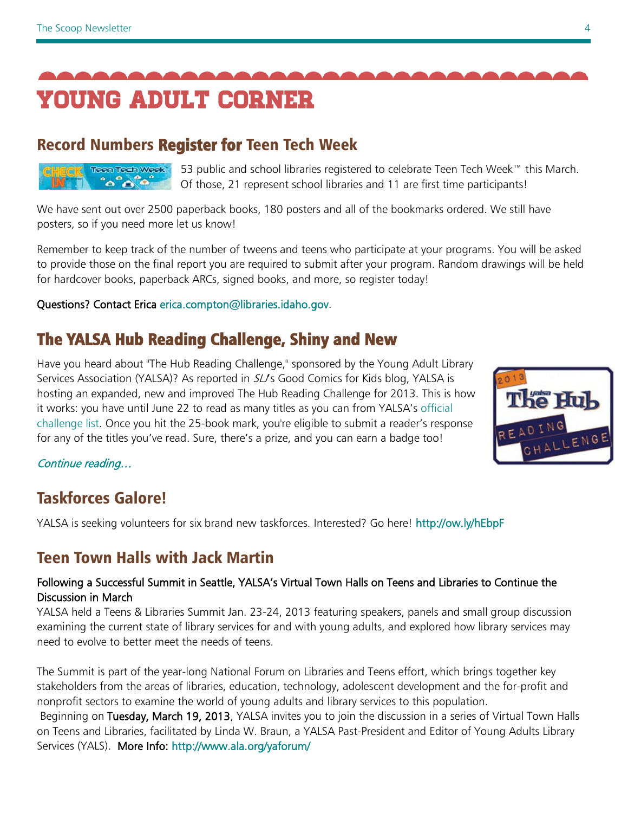<span id="page-3-0"></span>

## Record Numbers Register for Teen Tech Week

Teen Tech Week ്രി $\sim$ 

53 public and school libraries registered to celebrate Teen Tech Week™ this March. Of those, 21 represent school libraries and 11 are first time participants!

We have sent out over 2500 paperback books, 180 posters and all of the bookmarks ordered. We still have posters, so if you need more let us know!

Remember to keep track of the number of tweens and teens who participate at your programs. You will be asked to provide those on the final report you are required to submit after your program. Random drawings will be held for hardcover books, paperback ARCs, signed books, and more, so register today!

Questions? Contact Erica [erica.compton@libraries.idaho.gov.](mailto:erica.compton@libraries.idaho.gov)

## [The YALSA Hub Reading Challenge, Shiny and New](http://mediasource.netatlantic.com/track?type=click&enid=ZWFzPTEmbWFpbGluZ2lkPTE4NjU3Jm1lc3NhZ2VpZD0xNjUwNCZkYXRhYmFzZWlkPTE0MzAyJnNlcmlhbD0xNjc4Nzc2OCZlbWFpbGlkPWVyaWNhLmNvbXB0b25AbGlicmFyaWVzLmlkYWhvLmdvdiZ1c2VyaWQ9MV8xODIwJnRhcmdldGlkPSZmbD0mZXh0cmE9TXVsdGl2YXJpYXRlSWQ9JiYm&&&2074&&&http://www.slj.com/2013/02/awards/the-yalsa-hub-reading-challenge-shiny-and-new/)

Have you heard about "The Hub Reading Challenge," sponsored by the Young Adult Library Services Association (YALSA)? As reported in SLJ's Good Comics for Kids blog, YALSA is hosting an expanded, new and improved The Hub Reading Challenge for 2013. This is how it works: you have until June 22 to read as many titles as you can from YALSA's [official](http://mediasource.netatlantic.com/track?type=click&enid=ZWFzPTEmbWFpbGluZ2lkPTE4NjU3Jm1lc3NhZ2VpZD0xNjUwNCZkYXRhYmFzZWlkPTE0MzAyJnNlcmlhbD0xNjc4Nzc2OCZlbWFpbGlkPWVyaWNhLmNvbXB0b25AbGlicmFyaWVzLmlkYWhvLmdvdiZ1c2VyaWQ9MV8xODIwJnRhcmdldGlkPSZmbD0mZXh0cmE9TXVsdGl2YXJpYXRlSWQ9JiYm&&&2084&&&http://www.yalsa.ala.org/thehub/wp-content/uploads/2013/02/2013-hub-reading-challenge-list-by-author.pdf)  [challenge list.](http://mediasource.netatlantic.com/track?type=click&enid=ZWFzPTEmbWFpbGluZ2lkPTE4NjU3Jm1lc3NhZ2VpZD0xNjUwNCZkYXRhYmFzZWlkPTE0MzAyJnNlcmlhbD0xNjc4Nzc2OCZlbWFpbGlkPWVyaWNhLmNvbXB0b25AbGlicmFyaWVzLmlkYWhvLmdvdiZ1c2VyaWQ9MV8xODIwJnRhcmdldGlkPSZmbD0mZXh0cmE9TXVsdGl2YXJpYXRlSWQ9JiYm&&&2084&&&http://www.yalsa.ala.org/thehub/wp-content/uploads/2013/02/2013-hub-reading-challenge-list-by-author.pdf) Once you hit the 25-book mark, you're eligible to submit a reader's response for any of the titles you've read. Sure, there's a prize, and you can earn a badge too!



[Continue reading…](http://www.yalsa.ala.org/thehub/2013/02/03/yalsas-2013-hub-reading-challenge-begins/) 

## Taskforces Galore!

YALSA is seeking volunteers for six brand new taskforces. Interested? Go here! <http://ow.ly/hEbpF>

## Teen Town Halls with Jack Martin

#### Following a Successful Summit in Seattle, YALSA's Virtual Town Halls on Teens and Libraries to Continue the Discussion in March

YALSA held a Teens & Libraries Summit Jan. 23-24, 2013 featuring speakers, panels and small group discussion examining the current state of library services for and with young adults, and explored how library services may need to evolve to better meet the needs of teens.

The Summit is part of the year-long National Forum on Libraries and Teens effort, which brings together key stakeholders from the areas of libraries, education, technology, adolescent development and the for-profit and nonprofit sectors to examine the world of young adults and library services to this population.

<span id="page-3-1"></span>Beginning on Tuesday, March 19, 2013, YALSA invites you to join the discussion in a series of Virtual Town Halls on Teens and Libraries, facilitated by Linda W. Braun, a YALSA Past-President and Editor of Young Adults Library Services (YALS). More Info:<http://www.ala.org/yaforum/>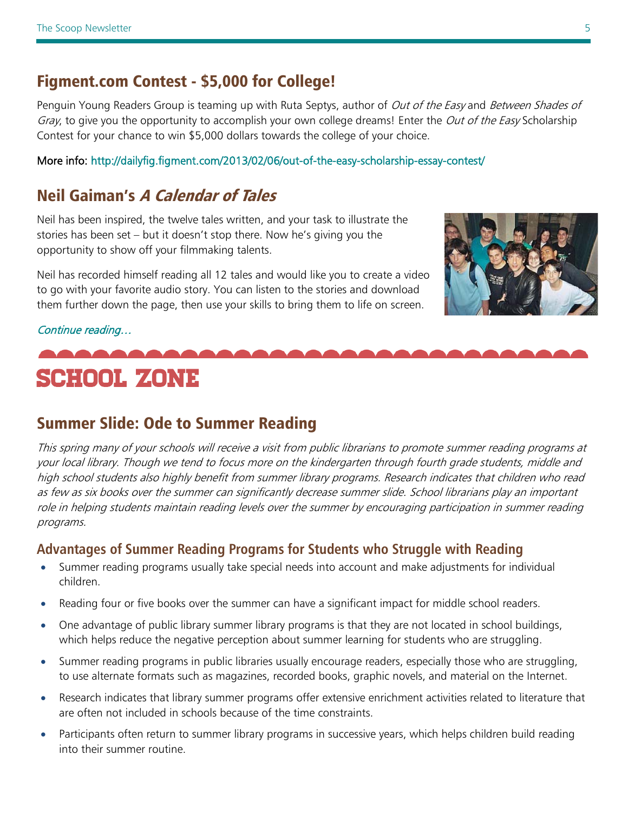### Figment.com Contest - \$5,000 for College!

Penguin Young Readers Group is teaming up with Ruta Septys, author of *Out of the Easy* and *Between Shades of* Gray, to give you the opportunity to accomplish your own college dreams! Enter the *Out of the Easy* Scholarship Contest for your chance to win \$5,000 dollars towards the college of your choice.

More info: http://dailyfig.figment.com/2013/02/06/out-of-the-easy-scholarship-essay-contest/

## Neil Gaiman's A Calendar of Tales

Neil has been inspired, the twelve tales written, and your task to illustrate the stories has been set – but it doesn't stop there. Now he's giving you the opportunity to show off your filmmaking talents.

Neil has recorded himself reading all 12 tales and would like you to create a video to go with your favorite audio story. You can listen to the stories and download them further down the page, then use your skills to bring them to life on screen.



#### [Continue reading…](http://keepmoving.blackberry.com/desktop/en/us/ambassador/neil-gaiman.html?CPID=E70C215)

## SCHOOL ZONE

## Summer Slide: Ode to Summer Reading

This spring many of your schools will receive a visit from public librarians to promote summer reading programs at your local library. Though we tend to focus more on the kindergarten through fourth grade students, middle and high school students also highly benefit from summer library programs. Research indicates that children who read as few as six books over the summer can significantly decrease summer slide. School librarians play an important role in helping students maintain reading levels over the summer by encouraging participation in summer reading programs.

### **Advantages of Summer Reading Programs for Students who Struggle with Reading**

- Summer reading programs usually take special needs into account and make adjustments for individual children.
- Reading four or five books over the summer can have a significant impact for middle school readers.
- One advantage of public library summer library programs is that they are not located in school buildings, which helps reduce the negative perception about summer learning for students who are struggling.
- Summer reading programs in public libraries usually encourage readers, especially those who are struggling, to use alternate formats such as magazines, recorded books, graphic novels, and material on the Internet.
- Research indicates that library summer programs offer extensive enrichment activities related to literature that are often not included in schools because of the time constraints.
- Participants often return to summer library programs in successive years, which helps children build reading into their summer routine.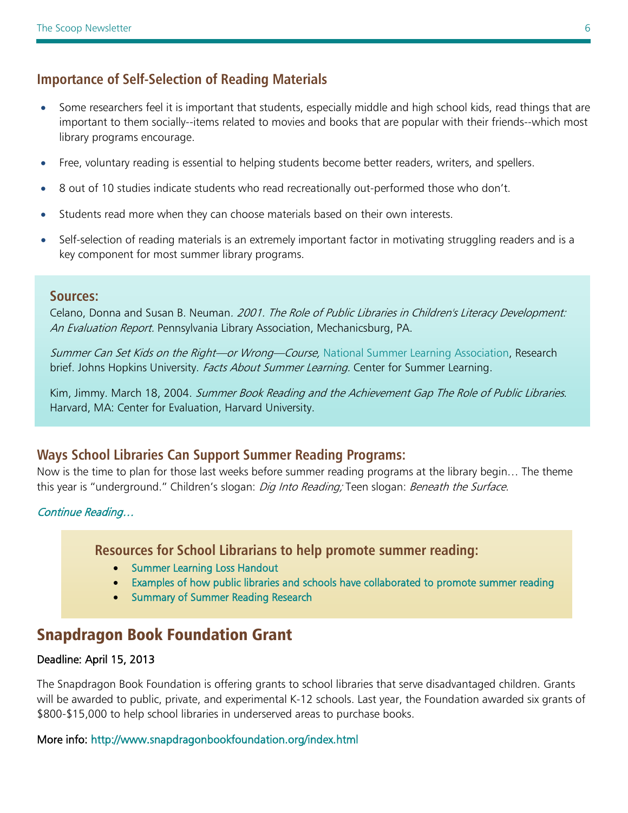### **Importance of Self-Selection of Reading Materials**

- Some researchers feel it is important that students, especially middle and high school kids, read things that are important to them socially--items related to movies and books that are popular with their friends--which most library programs encourage.
- Free, voluntary reading is essential to helping students become better readers, writers, and spellers.
- 8 out of 10 studies indicate students who read recreationally out-performed those who don't.
- Students read more when they can choose materials based on their own interests.
- Self-selection of reading materials is an extremely important factor in motivating struggling readers and is a key component for most summer library programs.

#### **Sources:**

Celano, Donna and Susan B. Neuman. 2001. The Role of Public Libraries in Children's Literacy Development: An Evaluation Report. Pennsylvania Library Association, Mechanicsburg, PA.

Summer Can Set Kids on the Right—or Wrong—Course, [National Summer Learning Association,](http://www.summerlearning.org/) Research brief. Johns Hopkins University. Facts About Summer Learning. Center for Summer Learning.

Kim, Jimmy. March 18, 2004. Summer Book Reading and the Achievement Gap The Role of Public Libraries. Harvard, MA: Center for Evaluation, Harvard University.

#### **Ways School Libraries Can Support Summer Reading Programs:**

Now is the time to plan for those last weeks before summer reading programs at the library begin… The theme this year is "underground." Children's slogan: *Dig Into Reading;* Teen slogan: *Beneath the Surface.* 

[Continue Reading…](http://libraries.idaho.gov/files/WaysSchoolLibrariesCanSupportSummerReading_2013_0.pdf) 

**Resources for School Librarians to help promote summer reading:**

- [Summer Learning Loss Handout](http://libraries.idaho.gov/files/SummerLearningLossHandout2013.pdf)
- [Examples of how public libraries and schools have collaborated to promote summer reading](http://libraries.idaho.gov/files/SchoolPartnershipsIdeas2013.pdf)
- [Summary of Summer Reading Research](http://libraries.idaho.gov/files/SRPResearchPoints2013.pdf)

### Snapdragon Book Foundation Grant

#### Deadline: April 15, 2013

The Snapdragon Book Foundation is offering grants to school libraries that serve disadvantaged children. Grants will be awarded to public, private, and experimental K-12 schools. Last year, the Foundation awarded six grants of \$800-\$15,000 to help school libraries in underserved areas to purchase books.

More info:<http://www.snapdragonbookfoundation.org/index.html>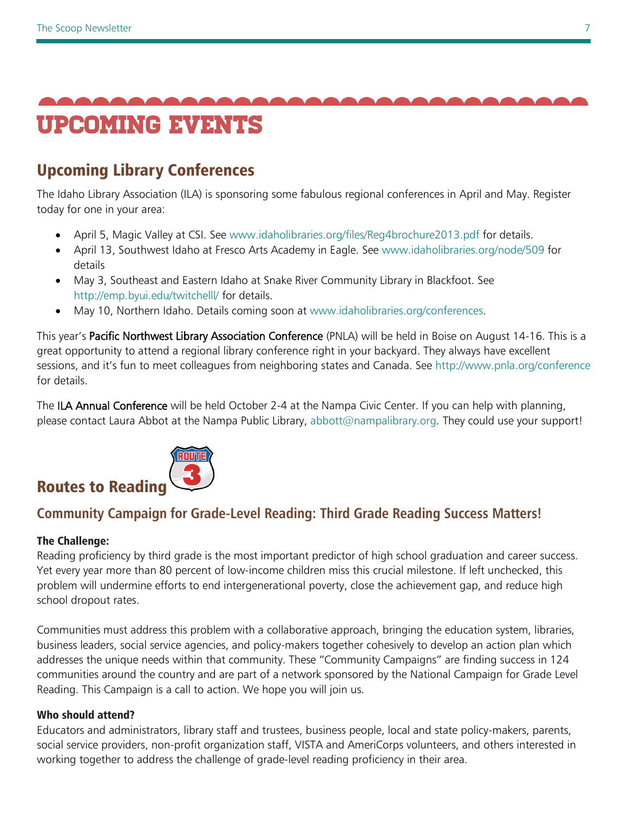<span id="page-6-0"></span>

## Upcoming Library Conferences

<span id="page-6-1"></span>The Idaho Library Association (ILA) is sponsoring some fabulous regional conferences in April and May. Register today for one in your area:

- April 5, Magic Valley at CSI. See [www.idaholibraries.org/files/Reg4brochure2013.pdf](http://www.idaholibraries.org/files/Reg4brochure2013.pdf) for details.
- April 13, Southwest Idaho at Fresco Arts Academy in Eagle. See [www.idaholibraries.org/node/509](http://www.idaholibraries.org/node/509) for details
- May 3, Southeast and Eastern Idaho at Snake River Community Library in Blackfoot. See <http://emp.byui.edu/twitchelll/> for details.
- May 10, Northern Idaho. Details coming soon at [www.idaholibraries.org/conferences.](http://www.idaholibraries.org/conferences)

This year's Pacific Northwest Library Association Conference (PNLA) will be held in Boise on August 14-16. This is a great opportunity to attend a regional library conference right in your backyard. They always have excellent sessions, and it's fun to meet colleagues from neighboring states and Canada. See<http://www.pnla.org/conference> for details.

The ILA Annual Conference will be held October 2-4 at the Nampa Civic Center. If you can help with planning, please contact Laura Abbot at the Nampa Public Library, [abbott@nampalibrary.org.](mailto:abbott@nampalibrary.org) They could use your support!



## **Community Campaign for Grade-Level Reading: Third Grade Reading Success Matters!**

#### The Challenge:

Reading proficiency by third grade is the most important predictor of high school graduation and career success. Yet every year more than 80 percent of low-income children miss this crucial milestone. If left unchecked, this problem will undermine efforts to end intergenerational poverty, close the achievement gap, and reduce high school dropout rates.

Communities must address this problem with a collaborative approach, bringing the education system, libraries, business leaders, social service agencies, and policy-makers together cohesively to develop an action plan which addresses the unique needs within that community. These "Community Campaigns" are finding success in 124 communities around the country and are part of a network sponsored by the National Campaign for Grade Level Reading. This Campaign is a call to action. We hope you will join us.

#### Who should attend?

Educators and administrators, library staff and trustees, business people, local and state policy-makers, parents, social service providers, non-profit organization staff, VISTA and AmeriCorps volunteers, and others interested in working together to address the challenge of grade-level reading proficiency in their area.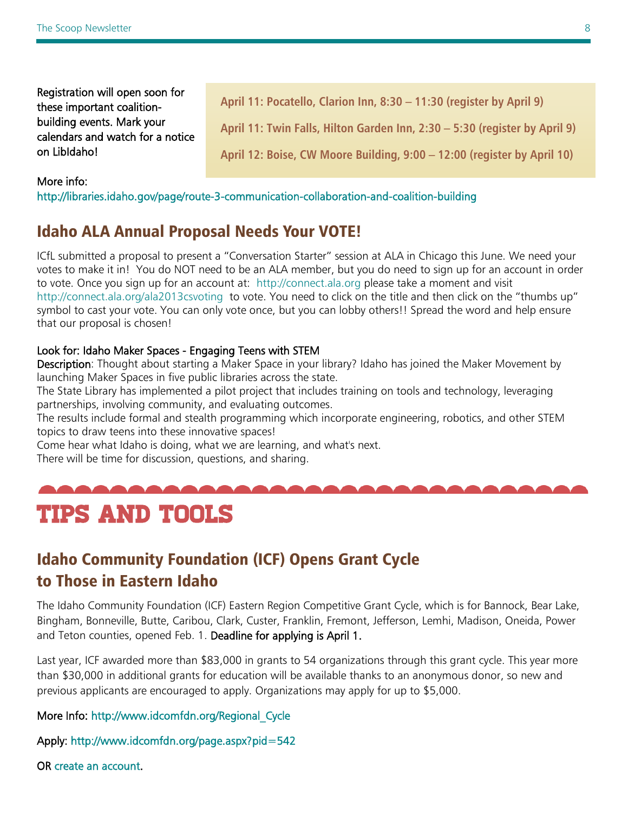Registration will open soon for these important coalitionbuilding events. Mark your calendars and watch for a notice on LibIdaho!

**April 11: Pocatello, Clarion Inn, 8:30 – 11:30 (register by April 9) April 11: Twin Falls, Hilton Garden Inn, 2:30 – 5:30 (register by April 9)**

**April 12: Boise, CW Moore Building, 9:00 – 12:00 (register by April 10)**

#### More info:

<http://libraries.idaho.gov/page/route-3-communication-collaboration-and-coalition-building>

## Idaho ALA Annual Proposal Needs Your VOTE!

ICfL submitted a proposal to present a "Conversation Starter" session at ALA in Chicago this June. We need your votes to make it in! You do NOT need to be an ALA member, but you do need to sign up for an account in order to vote. Once you sign up for an account at: [http://connect.ala.org](http://connect.ala.org/) please take a moment and visit <http://connect.ala.org/ala2013csvoting> to vote. You need to click on the title and then click on the "thumbs up" symbol to cast your vote. You can only vote once, but you can lobby others!! Spread the word and help ensure that our proposal is chosen!

#### Look for: Idaho Maker Spaces - Engaging Teens with STEM

Description: Thought about starting a Maker Space in your library? Idaho has joined the Maker Movement by launching Maker Spaces in five public libraries across the state.

The State Library has implemented a pilot project that includes training on tools and technology, leveraging partnerships, involving community, and evaluating outcomes.

The results include formal and stealth programming which incorporate engineering, robotics, and other STEM topics to draw teens into these innovative spaces!

Come hear what Idaho is doing, what we are learning, and what's next.

There will be time for discussion, questions, and sharing.

## Tips and tools

## Idaho Community Foundation (ICF) Opens Grant Cycle to Those in Eastern Idaho

The Idaho Community Foundation (ICF) Eastern Region Competitive Grant Cycle, which is for Bannock, Bear Lake, Bingham, Bonneville, Butte, Caribou, Clark, Custer, Franklin, Fremont, Jefferson, Lemhi, Madison, Oneida, Power and Teton counties, opened Feb. 1. Deadline for applying is April 1.

Last year, ICF awarded more than \$83,000 in grants to 54 organizations through this grant cycle. This year more than \$30,000 in additional grants for education will be available thanks to an anonymous donor, so new and previous applicants are encouraged to apply. Organizations may apply for up to \$5,000.

#### More Info: [http://www.idcomfdn.org/Regional\\_Cycle](http://www.idcomfdn.org/Regional_Cycle)

Apply:<http://www.idcomfdn.org/page.aspx?pid=542>

OR [create an account.](http://idcomfdn.org/page.aspx?pid=290&tab=1)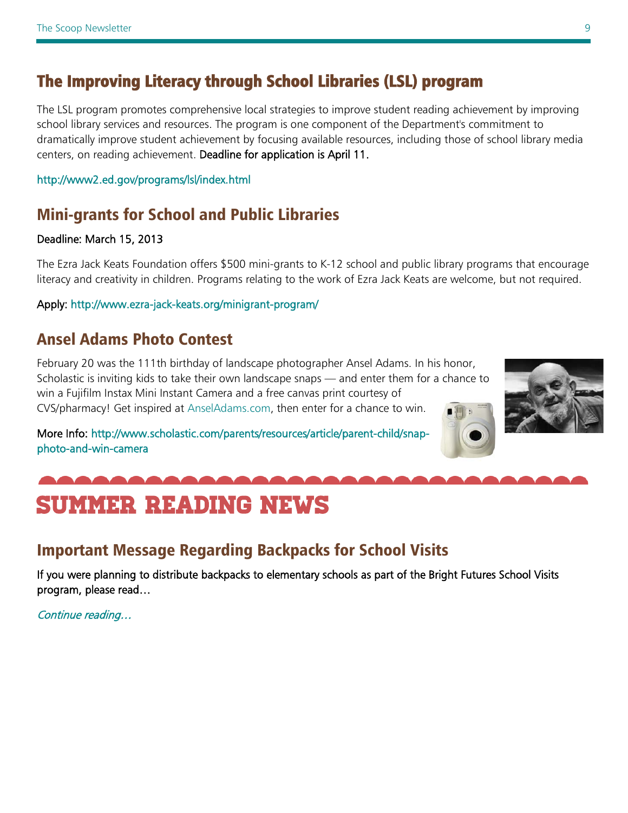## [The Improving Literacy through School Libraries \(LSL\) program](http://www.ed.gov/programs/lsl/index.html)

The LSL program promotes comprehensive local strategies to improve student reading achievement by improving school library services and resources. The program is one component of the Department's commitment to dramatically improve student achievement by focusing available resources, including those of school library media centers, on reading achievement. Deadline for application is April 11.

#### <http://www2.ed.gov/programs/lsl/index.html>

## Mini-grants for School and Public Libraries

#### Deadline: March 15, 2013

The Ezra Jack Keats Foundation offers \$500 mini-grants to K-12 school and public library programs that encourage literacy and creativity in children. Programs relating to the work of Ezra Jack Keats are welcome, but not required.

#### Apply: http://www.ezra-jack-keats.org/minigrant-program/

## Ansel Adams Photo Contest

February 20 was the 111th birthday of landscape photographer Ansel Adams. In his honor, Scholastic is inviting kids to take their own landscape snaps — and enter them for a chance to win a Fujifilm Instax Mini Instant Camera and a free canvas print courtesy of CVS/pharmacy! Get inspired at [AnselAdams.com,](http://www.anseladams.com/) then enter for a chance to win.

More Info: [http://www.scholastic.com/parents/resources/article/parent-child/snap](http://www.scholastic.com/parents/resources/article/parent-child/snap-photo-and-win-camera)[photo-and-win-camera](http://www.scholastic.com/parents/resources/article/parent-child/snap-photo-and-win-camera) 



## <span id="page-8-0"></span>summer reading news

## Important Message Regarding Backpacks for School Visits

If you were planning to distribute backpacks to elementary schools as part of the Bright Futures School Visits program, please read…

[Continue reading…](http://libraries.idaho.gov/blogs/stacishaw/important-message-regarding-backpacks-bright-futures-school-visits)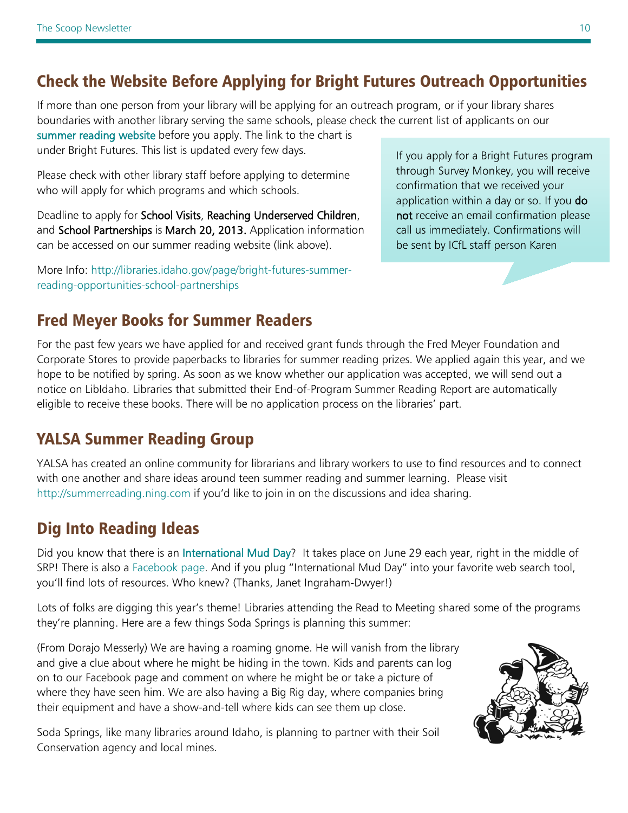## Check the Website Before Applying for Bright Futures Outreach Opportunities

If more than one person from your library will be applying for an outreach program, or if your library shares boundaries with another library serving the same schools, please check the current list of applicants on our

[summer reading website](http://libraries.idaho.gov/landing/summer-reading) before you apply. The link to the chart is under Bright Futures. This list is updated every few days.

Please check with other library staff before applying to determine who will apply for which programs and which schools.

Deadline to apply for School Visits, Reaching Underserved Children, and School Partnerships is March 20, 2013. Application information can be accessed on our summer reading website (link above).

More Info: [http://libraries.idaho.gov/page/bright-futures-summer](http://libraries.idaho.gov/page/bright-futures-summer-reading-opportunities-school-partnerships)[reading-opportunities-school-partnerships](http://libraries.idaho.gov/page/bright-futures-summer-reading-opportunities-school-partnerships)

## Fred Meyer Books for Summer Readers

For the past few years we have applied for and received grant funds through the Fred Meyer Foundation and Corporate Stores to provide paperbacks to libraries for summer reading prizes. We applied again this year, and we hope to be notified by spring. As soon as we know whether our application was accepted, we will send out a notice on LibIdaho. Libraries that submitted their End-of-Program Summer Reading Report are automatically eligible to receive these books. There will be no application process on the libraries' part.

## YALSA Summer Reading Group

YALSA has created an online community for librarians and library workers to use to find resources and to connect with one another and share ideas around teen summer reading and summer learning. Please visit [http://summerreading.ning.com](http://summerreading.ning.com/) if you'd like to join in on the discussions and idea sharing.

## Dig Into Reading Ideas

Did you know that there is an [International Mud Day?](http://worldforumfoundation.org/wf/wp/initiatives/nature-action-collaborative-for-children/international-mud-day-2011/) It takes place on June 29 each year, right in the middle of SRP! There is also a [Facebook page.](http://www.facebook.com/InternationalMudDay) And if you plug "International Mud Day" into your favorite web search tool, you'll find lots of resources. Who knew? (Thanks, Janet Ingraham-Dwyer!)

Lots of folks are digging this year's theme! Libraries attending the Read to Meeting shared some of the programs they're planning. Here are a few things Soda Springs is planning this summer:

(From Dorajo Messerly) We are having a roaming gnome. He will vanish from the library and give a clue about where he might be hiding in the town. Kids and parents can log on to our Facebook page and comment on where he might be or take a picture of where they have seen him. We are also having a Big Rig day, where companies bring their equipment and have a show-and-tell where kids can see them up close.

Soda Springs, like many libraries around Idaho, is planning to partner with their Soil Conservation agency and local mines.



If you apply for a Bright Futures program through Survey Monkey, you will receive confirmation that we received your application within a day or so. If you do not receive an email confirmation please call us immediately. Confirmations will be sent by ICfL staff person Karen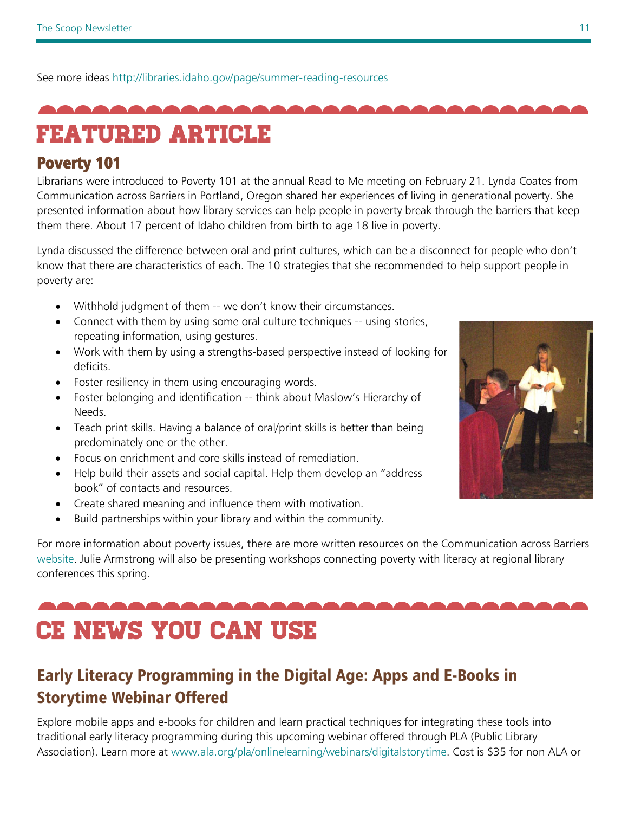See more ideas <http://libraries.idaho.gov/page/summer-reading-resources>

<span id="page-10-0"></span>

## Featured Article

### Poverty 101

Librarians were introduced to Poverty 101 at the annual Read to Me meeting on February 21. Lynda Coates from Communication across Barriers in Portland, Oregon shared her experiences of living in generational poverty. She presented information about how library services can help people in poverty break through the barriers that keep them there. About 17 percent of Idaho children from birth to age 18 live in poverty.

Lynda discussed the difference between oral and print cultures, which can be a disconnect for people who don't know that there are characteristics of each. The 10 strategies that she recommended to help support people in poverty are:

- Withhold judgment of them -- we don't know their circumstances.
- Connect with them by using some oral culture techniques -- using stories, repeating information, using gestures.
- Work with them by using a strengths-based perspective instead of looking for deficits.
- Foster resiliency in them using encouraging words.
- Foster belonging and identification -- think about Maslow's Hierarchy of Needs.
- Teach print skills. Having a balance of oral/print skills is better than being predominately one or the other.
- Focus on enrichment and core skills instead of remediation.
- Help build their assets and social capital. Help them develop an "address book" of contacts and resources.
- Create shared meaning and influence them with motivation.
- Build partnerships within your library and within the community.

For more information about poverty issues, there are more written resources on the Communication across Barriers [website.](http://www.combarriers.com/) Julie Armstrong will also be presenting workshops connecting poverty with literacy at regional library conferences this spring.

# <span id="page-10-1"></span>CE news you can use

## Early Literacy Programming in the Digital Age: Apps and E-Books in Storytime Webinar Offered

Explore mobile apps and e-books for children and learn practical techniques for integrating these tools into traditional early literacy programming during this upcoming webinar offered through PLA (Public Library Association). Learn more at [www.ala.org/pla/onlinelearning/webinars/digitalstorytime.](http://www.ala.org/pla/onlinelearning/webinars/digitalstorytime) Cost is \$35 for non ALA or

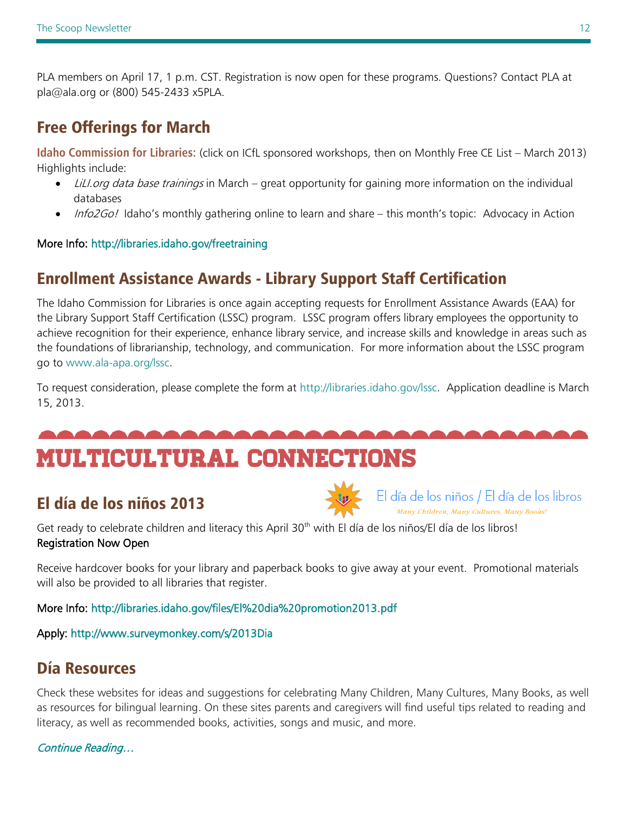PLA members on April 17, 1 p.m. CST. Registration is now open for these programs. Questions? Contact PLA at pla@ala.org or (800) 545-2433 x5PLA.

## Free Offerings for March

**Idaho Commission for Libraries:** (click on ICfL sponsored workshops, then on Monthly Free CE List – March 2013) Highlights include:

- LiLI.org data base trainings in March great opportunity for gaining more information on the individual databases
- Info2Go! Idaho's monthly gathering online to learn and share this month's topic: Advocacy in Action

#### More Info:<http://libraries.idaho.gov/freetraining>

## Enrollment Assistance Awards - Library Support Staff Certification

The Idaho Commission for Libraries is once again accepting requests for Enrollment Assistance Awards (EAA) for the Library Support Staff Certification (LSSC) program. LSSC program offers library employees the opportunity to achieve recognition for their experience, enhance library service, and increase skills and knowledge in areas such as the foundations of librarianship, technology, and communication. For more information about the LSSC program go to [www.ala-apa.org/lssc.](http://www.ala-apa.org/lssc)

To request consideration, please complete the form at [http://libraries.idaho.gov/lssc.](http://libraries.idaho.gov/lssc) Application deadline is March 15, 2013.

## <span id="page-11-0"></span>Multicultural connections

## El día de los niños 2013



El día de los niños / El día de los libros

Get ready to celebrate children and literacy this April 30<sup>th</sup> with El día de los niños/El día de los libros! Registration Now Open

Receive hardcover books for your library and paperback books to give away at your event. Promotional materials will also be provided to all libraries that register.

More Info:<http://libraries.idaho.gov/files/El%20dia%20promotion2013.pdf>

Apply:<http://www.surveymonkey.com/s/2013Dia>

## Día Resources

Check these websites for ideas and suggestions for celebrating Many Children, Many Cultures, Many Books, as well as resources for bilingual learning. On these sites parents and caregivers will find useful tips related to reading and literacy, as well as recommended books, activities, songs and music, and more.

### [Continue Reading…](http://dia.ala.org/parents-children)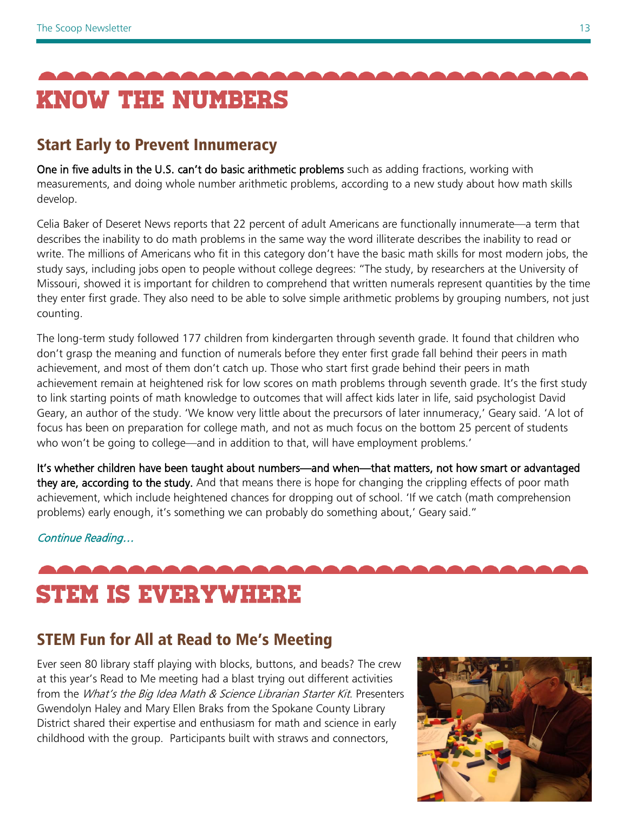<span id="page-12-0"></span>

## Start Early to Prevent Innumeracy

One in five adults in the U.S. can't do basic arithmetic problems such as adding fractions, working with measurements, and doing whole number arithmetic problems, according to a new study about how math skills develop.

Celia Baker of Deseret News reports that 22 percent of adult Americans are functionally innumerate—a term that describes the inability to do math problems in the same way the word illiterate describes the inability to read or write. The millions of Americans who fit in this category don't have the basic math skills for most modern jobs, the study says, including jobs open to people without college degrees: "The study, by researchers at the University of Missouri, showed it is important for children to comprehend that written numerals represent quantities by the time they enter first grade. They also need to be able to solve simple arithmetic problems by grouping numbers, not just counting.

The long-term study followed 177 children from kindergarten through seventh grade. It found that children who don't grasp the meaning and function of numerals before they enter first grade fall behind their peers in math achievement, and most of them don't catch up. Those who start first grade behind their peers in math achievement remain at heightened risk for low scores on math problems through seventh grade. It's the first study to link starting points of math knowledge to outcomes that will affect kids later in life, said psychologist David Geary, an author of the study. 'We know very little about the precursors of later innumeracy,' Geary said. 'A lot of focus has been on preparation for college math, and not as much focus on the bottom 25 percent of students who won't be going to college—and in addition to that, will have employment problems.'

It's whether children have been taught about numbers—and when—that matters, not how smart or advantaged they are, according to the study. And that means there is hope for changing the crippling effects of poor math achievement, which include heightened chances for dropping out of school. 'If we catch (math comprehension problems) early enough, it's something we can probably do something about,' Geary said."

[Continue Reading…](http://www.deseretnews.com/article/865573331/Early-exposure-to-basic-math-concepts-is-vital-to-avoid-innumeracy-later-on-Missouri-study-says.html?pg=all) 

# <span id="page-12-1"></span>STEM is everywhere

## STEM Fun for All at Read to Me's Meeting

Ever seen 80 library staff playing with blocks, buttons, and beads? The crew at this year's Read to Me meeting had a blast trying out different activities from the What's the Big Idea Math & Science Librarian Starter Kit. Presenters Gwendolyn Haley and Mary Ellen Braks from the Spokane County Library District shared their expertise and enthusiasm for math and science in early childhood with the group. Participants built with straws and connectors,

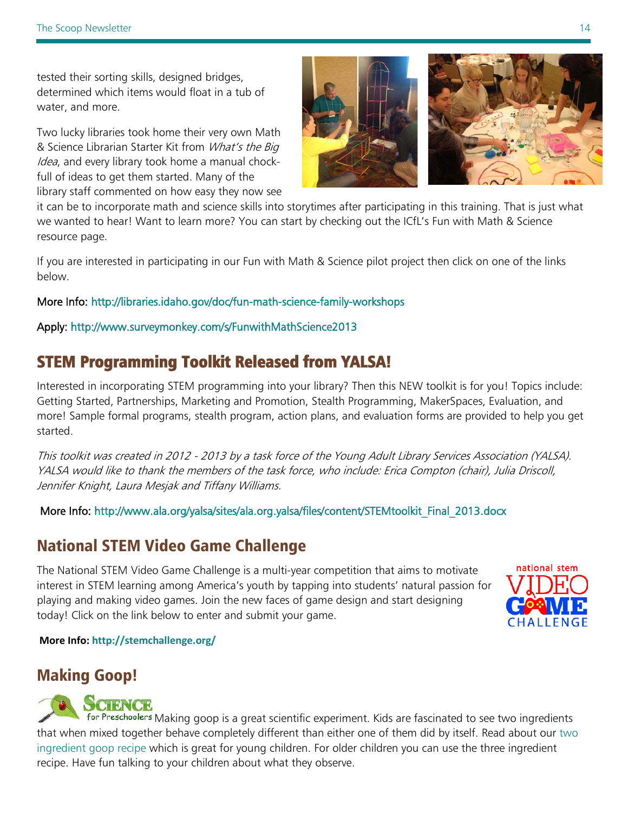tested their sorting skills, designed bridges, determined which items would float in a tub of water, and more.

Two lucky libraries took home their very own Math & Science Librarian Starter Kit from What's the Big Idea, and every library took home a manual chockfull of ideas to get them started. Many of the library staff commented on how easy they now see



it can be to incorporate math and science skills into storytimes after participating in this training. That is just what we wanted to hear! Want to learn more? You can start by checking out the ICfL's Fun with Math & Science resource page.

If you are interested in participating in our Fun with Math & Science pilot project then click on one of the links below.

#### More Info:<http://libraries.idaho.gov/doc/fun-math-science-family-workshops>

Apply:<http://www.surveymonkey.com/s/FunwithMathScience2013>

## STEM Programming Toolkit Released from YALSA!

Interested in incorporating STEM programming into your library? Then this NEW toolkit is for you! Topics include: Getting Started, Partnerships, Marketing and Promotion, Stealth Programming, MakerSpaces, Evaluation, and more! Sample formal programs, stealth program, action plans, and evaluation forms are provided to help you get started.

This toolkit was created in 2012 - 2013 by a task force of the Young Adult Library Services Association (YALSA). YALSA would like to thank the members of the task force, who include: Erica Compton (chair), Julia Driscoll, Jennifer Knight, Laura Mesjak and Tiffany Williams.

More Info: [http://www.ala.org/yalsa/sites/ala.org.yalsa/files/content/STEMtoolkit\\_Final\\_2013.docx](http://www.ala.org/yalsa/sites/ala.org.yalsa/files/content/STEMtoolkit_Final_2013.docx) 

## National STEM Video Game Challenge

The National STEM Video Game Challenge is a multi-year competition that aims to motivate interest in STEM learning among America's youth by tapping into students' natural passion for playing and making video games. Join the new faces of game design and start designing today! Click on the link below to enter and submit your game.



**More Info[: http://stemchallenge.org/](http://stemchallenge.org/)**

## Making Goop!



for Preschoolers [M](http://ct.ebizac.com/t.php/322120/0/B/H/10528876/3768/)aking goop is a great scientific experiment. Kids are fascinated to see two ingredients that when mixed together behave completely different than either one of them did by itself. Read about our [two](http://ct.ebizac.com/t.php/322120/1/B/H/10528876/3768/)  [ingredient goop recipe](http://ct.ebizac.com/t.php/322120/1/B/H/10528876/3768/) which is great for young children. For older children you can use the three ingredient recipe. Have fun talking to your children about what they observe.